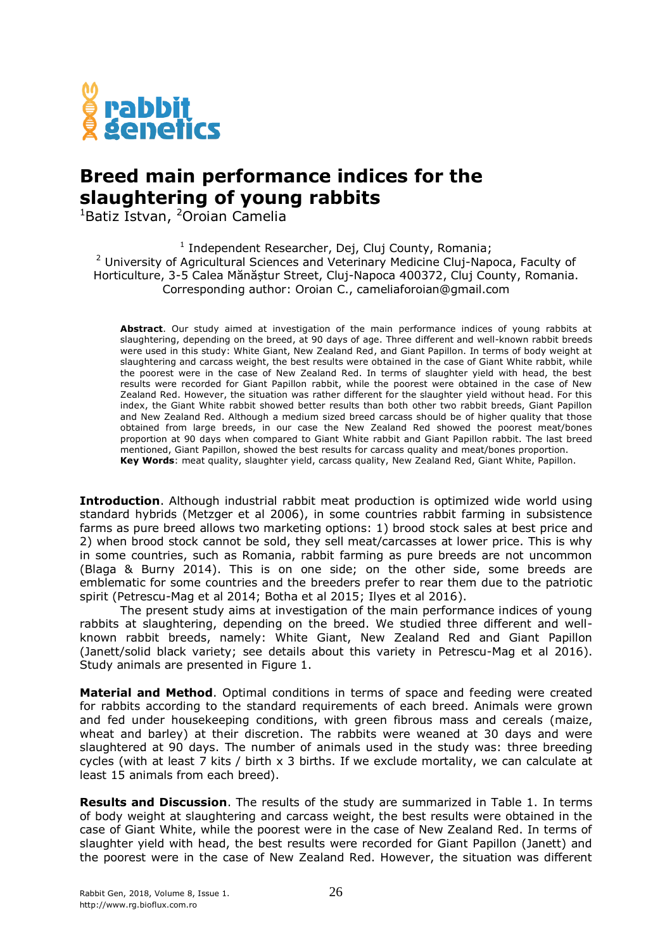

## **Breed main performance indices for the slaughtering of young rabbits**

 $1$ Batiz Istvan,  $2$ Oroian Camelia

<sup>1</sup> Independent Researcher, Dej, Cluj County, Romania; <sup>2</sup> University of Agricultural Sciences and Veterinary Medicine Cluj-Napoca, Faculty of Horticulture, 3-5 Calea Mănăștur Street, Cluj-Napoca 400372, Cluj County, Romania. Corresponding author: Oroian C., cameliaforoian@gmail.com

**Abstract**. Our study aimed at investigation of the main performance indices of young rabbits at slaughtering, depending on the breed, at 90 days of age. Three different and well-known rabbit breeds were used in this study: White Giant, New Zealand Red, and Giant Papillon. In terms of body weight at slaughtering and carcass weight, the best results were obtained in the case of Giant White rabbit, while the poorest were in the case of New Zealand Red. In terms of slaughter yield with head, the best results were recorded for Giant Papillon rabbit, while the poorest were obtained in the case of New Zealand Red. However, the situation was rather different for the slaughter yield without head. For this index, the Giant White rabbit showed better results than both other two rabbit breeds, Giant Papillon and New Zealand Red. Although a medium sized breed carcass should be of higher quality that those obtained from large breeds, in our case the New Zealand Red showed the poorest meat/bones proportion at 90 days when compared to Giant White rabbit and Giant Papillon rabbit. The last breed mentioned, Giant Papillon, showed the best results for carcass quality and meat/bones proportion. **Key Words**: meat quality, slaughter yield, carcass quality, New Zealand Red, Giant White, Papillon.

**Introduction**. Although industrial rabbit meat production is optimized wide world using standard hybrids (Metzger et al 2006), in some countries rabbit farming in subsistence farms as pure breed allows two marketing options: 1) brood stock sales at best price and 2) when brood stock cannot be sold, they sell meat/carcasses at lower price. This is why in some countries, such as Romania, rabbit farming as pure breeds are not uncommon (Blaga & Burny 2014). This is on one side; on the other side, some breeds are emblematic for some countries and the breeders prefer to rear them due to the patriotic spirit (Petrescu-Mag et al 2014; Botha et al 2015; Ilyes et al 2016).

The present study aims at investigation of the main performance indices of young rabbits at slaughtering, depending on the breed. We studied three different and wellknown rabbit breeds, namely: White Giant, New Zealand Red and Giant Papillon (Janett/solid black variety; see details about this variety in Petrescu-Mag et al 2016). Study animals are presented in Figure 1.

**Material and Method**. Optimal conditions in terms of space and feeding were created for rabbits according to the standard requirements of each breed. Animals were grown and fed under housekeeping conditions, with green fibrous mass and cereals (maize, wheat and barley) at their discretion. The rabbits were weaned at 30 days and were slaughtered at 90 days. The number of animals used in the study was: three breeding cycles (with at least 7 kits / birth x 3 births. If we exclude mortality, we can calculate at least 15 animals from each breed).

**Results and Discussion**. The results of the study are summarized in Table 1. In terms of body weight at slaughtering and carcass weight, the best results were obtained in the case of Giant White, while the poorest were in the case of New Zealand Red. In terms of slaughter yield with head, the best results were recorded for Giant Papillon (Janett) and the poorest were in the case of New Zealand Red. However, the situation was different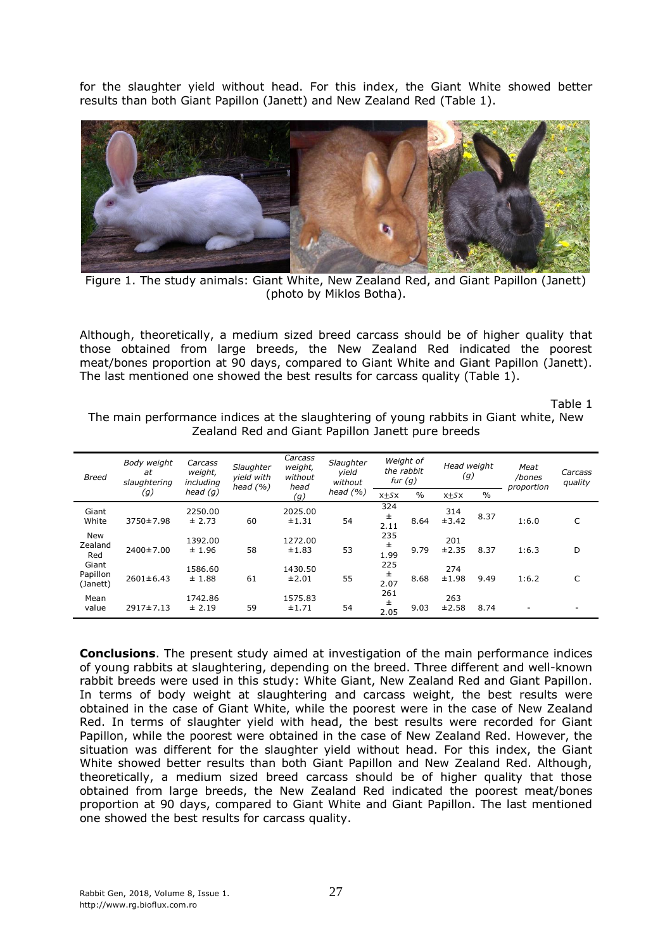for the slaughter yield without head. For this index, the Giant White showed better results than both Giant Papillon (Janett) and New Zealand Red (Table 1).



Figure 1. The study animals: Giant White, New Zealand Red, and Giant Papillon (Janett) (photo by Miklos Botha).

Although, theoretically, a medium sized breed carcass should be of higher quality that those obtained from large breeds, the New Zealand Red indicated the poorest meat/bones proportion at 90 days, compared to Giant White and Giant Papillon (Janett). The last mentioned one showed the best results for carcass quality (Table 1).

Table 1

The main performance indices at the slaughtering of young rabbits in Giant white, New Zealand Red and Giant Papillon Janett pure breeds

| <b>Breed</b>                  | Body weight<br>at<br>slaughtering | Carcass<br>weight,<br>including<br>head $(q)$ | Slaughter<br>yield with<br>head $(% )$ | Carcass<br>weight,<br>without<br>head<br>(g) | Slaughter<br>yield<br>without<br>head $(% )$ | Weight of<br>the rabbit<br>fur $(g)$ |               | Head weight<br>(g) |               | Meat<br>/bones<br>proportion | Carcass<br>quality |
|-------------------------------|-----------------------------------|-----------------------------------------------|----------------------------------------|----------------------------------------------|----------------------------------------------|--------------------------------------|---------------|--------------------|---------------|------------------------------|--------------------|
|                               | (g)                               |                                               |                                        |                                              |                                              | $x \pm Sx$                           | $\frac{0}{0}$ | $x + Sx$           | $\frac{0}{0}$ |                              |                    |
| Giant<br>White                | 3750±7.98                         | 2250.00<br>± 2.73                             | 60                                     | 2025.00<br>±1.31                             | 54                                           | 324<br>$\pm$<br>2.11                 | 8.64          | 314<br>±3.42       | 8.37          | 1:6.0                        | C                  |
| <b>New</b><br>Zealand<br>Red  | 2400±7.00                         | 1392.00<br>± 1.96                             | 58                                     | 1272.00<br>±1.83                             | 53                                           | 235<br>Ŧ<br>1.99                     | 9.79          | 201<br>±2.35       | 8.37          | 1:6.3                        | D                  |
| Giant<br>Papillon<br>(Janett) | $2601 \pm 6.43$                   | 1586.60<br>± 1.88                             | 61                                     | 1430.50<br>±2.01                             | 55                                           | 225<br>$\pm$<br>2.07                 | 8.68          | 274<br>±1.98       | 9.49          | 1:6.2                        | C                  |
| Mean<br>value                 | $2917 \pm 7.13$                   | 1742.86<br>± 2.19                             | 59                                     | 1575.83<br>±1.71                             | 54                                           | 261<br>士<br>2.05                     | 9.03          | 263<br>±2.58       | 8.74          | -                            |                    |

**Conclusions**. The present study aimed at investigation of the main performance indices of young rabbits at slaughtering, depending on the breed. Three different and well-known rabbit breeds were used in this study: White Giant, New Zealand Red and Giant Papillon. In terms of body weight at slaughtering and carcass weight, the best results were obtained in the case of Giant White, while the poorest were in the case of New Zealand Red. In terms of slaughter yield with head, the best results were recorded for Giant Papillon, while the poorest were obtained in the case of New Zealand Red. However, the situation was different for the slaughter yield without head. For this index, the Giant White showed better results than both Giant Papillon and New Zealand Red. Although, theoretically, a medium sized breed carcass should be of higher quality that those obtained from large breeds, the New Zealand Red indicated the poorest meat/bones proportion at 90 days, compared to Giant White and Giant Papillon. The last mentioned one showed the best results for carcass quality.